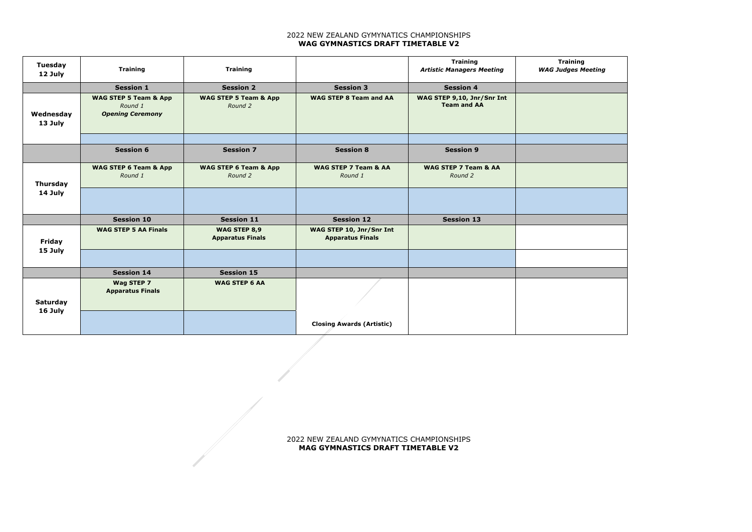## 2022 NEW ZEALAND GYMYNATICS CHAMPIONSHIPS **WAG GYMNASTICS DRAFT TIMETABLE V2**



| <b>Tuesday</b><br>12 July | <b>Training</b>                                                        | <b>Training</b>                             |                                                     | <b>Training</b><br><b>Artistic Managers Meeting</b> | Tra<br><b>WAG Judg</b> |
|---------------------------|------------------------------------------------------------------------|---------------------------------------------|-----------------------------------------------------|-----------------------------------------------------|------------------------|
|                           | <b>Session 1</b>                                                       | <b>Session 2</b>                            | <b>Session 3</b>                                    | <b>Session 4</b>                                    |                        |
| Wednesday<br>13 July      | <b>WAG STEP 5 Team &amp; App</b><br>Round 1<br><b>Opening Ceremony</b> | <b>WAG STEP 5 Team &amp; App</b><br>Round 2 | <b>WAG STEP 8 Team and AA</b>                       | WAG STEP 9,10, Jnr/Snr Int<br><b>Team and AA</b>    |                        |
|                           | <b>Session 6</b>                                                       | <b>Session 7</b>                            | <b>Session 8</b>                                    | <b>Session 9</b>                                    |                        |
| <b>Thursday</b>           | <b>WAG STEP 6 Team &amp; App</b><br>Round 1                            | <b>WAG STEP 6 Team &amp; App</b><br>Round 2 | WAG STEP 7 Team & AA<br>Round 1                     | WAG STEP 7 Team & AA<br>Round 2                     |                        |
| 14 July                   |                                                                        |                                             |                                                     |                                                     |                        |
|                           | <b>Session 10</b>                                                      | <b>Session 11</b>                           | <b>Session 12</b>                                   | <b>Session 13</b>                                   |                        |
| <b>Friday</b>             | <b>WAG STEP 5 AA Finals</b>                                            | WAG STEP 8,9<br><b>Apparatus Finals</b>     | WAG STEP 10, Jnr/Snr Int<br><b>Apparatus Finals</b> |                                                     |                        |
| 15 July                   |                                                                        |                                             |                                                     |                                                     |                        |
|                           | <b>Session 14</b>                                                      | <b>Session 15</b>                           |                                                     |                                                     |                        |
| <b>Saturday</b>           | Wag STEP 7<br><b>Apparatus Finals</b>                                  | <b>WAG STEP 6 AA</b>                        |                                                     |                                                     |                        |
| 16 July                   |                                                                        |                                             | <b>Closing Awards (Artistic)</b>                    |                                                     |                        |

## 2022 NEW ZEALAND GYMYNATICS CHAMPIONSHIPS **MAG GYMNASTICS DRAFT TIMETABLE V2**